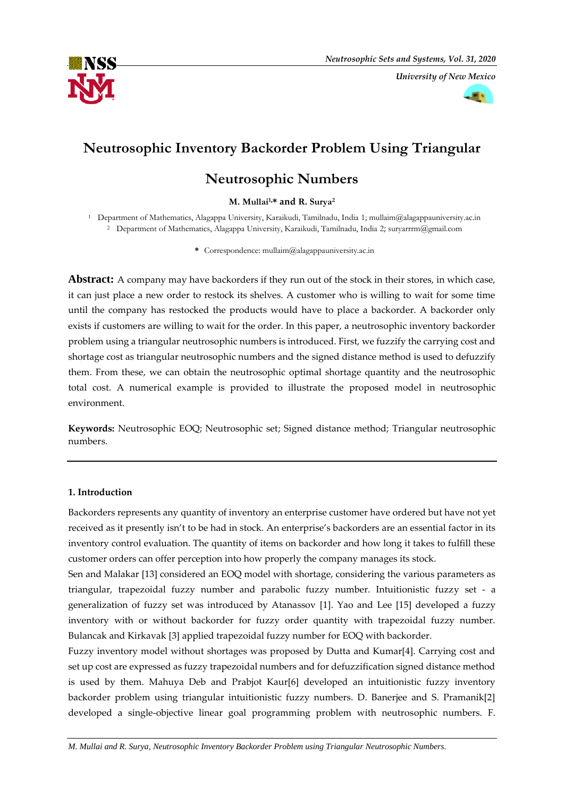

*University of New Mexico*



# **Neutrosophic Inventory Backorder Problem Using Triangular**

## **Neutrosophic Numbers**

### **M. Mullai1,\* and R. Surya<sup>2</sup>**

<sup>1</sup> Department of Mathematics, Alagappa University, Karaikudi, Tamilnadu, India 1; mullaim@alagappauniversity.ac.in <sup>2</sup> Department of Mathematics, Alagappa University, Karaikudi, Tamilnadu, India 2; suryarrrm@gmail.com

**\*** Correspondence: mullaim@alagappauniversity.ac.in

**Abstract:** A company may have backorders if they run out of the stock in their stores, in which case, it can just place a new order to restock its shelves. A customer who is willing to wait for some time until the company has restocked the products would have to place a backorder. A backorder only exists if customers are willing to wait for the order. In this paper, a neutrosophic inventory backorder problem using a triangular neutrosophic numbers is introduced. First, we fuzzify the carrying cost and shortage cost as triangular neutrosophic numbers and the signed distance method is used to defuzzify them. From these, we can obtain the neutrosophic optimal shortage quantity and the neutrosophic total cost. A numerical example is provided to illustrate the proposed model in neutrosophic environment.

**Keywords:** Neutrosophic EOQ; Neutrosophic set; Signed distance method; Triangular neutrosophic numbers.

## **1. Introduction**

Backorders represents any quantity of inventory an enterprise customer have ordered but have not yet received as it presently isn't to be had in stock. An enterprise's backorders are an essential factor in its inventory control evaluation. The quantity of items on backorder and how long it takes to fulfill these customer orders can offer perception into how properly the company manages its stock.

Sen and Malakar [13] considered an EOQ model with shortage, considering the various parameters as triangular, trapezoidal fuzzy number and parabolic fuzzy number. Intuitionistic fuzzy set - a generalization of fuzzy set was introduced by Atanassov [1]. Yao and Lee [15] developed a fuzzy inventory with or without backorder for fuzzy order quantity with trapezoidal fuzzy number. Bulancak and Kirkavak [3] applied trapezoidal fuzzy number for EOQ with backorder.

Fuzzy inventory model without shortages was proposed by Dutta and Kumar[4]. Carrying cost and set up cost are expressed as fuzzy trapezoidal numbers and for defuzzification signed distance method is used by them. Mahuya Deb and Prabjot Kaur[6] developed an intuitionistic fuzzy inventory backorder problem using triangular intuitionistic fuzzy numbers. D. Banerjee and S. Pramanik[2] developed a single-objective linear goal programming problem with neutrosophic numbers. F.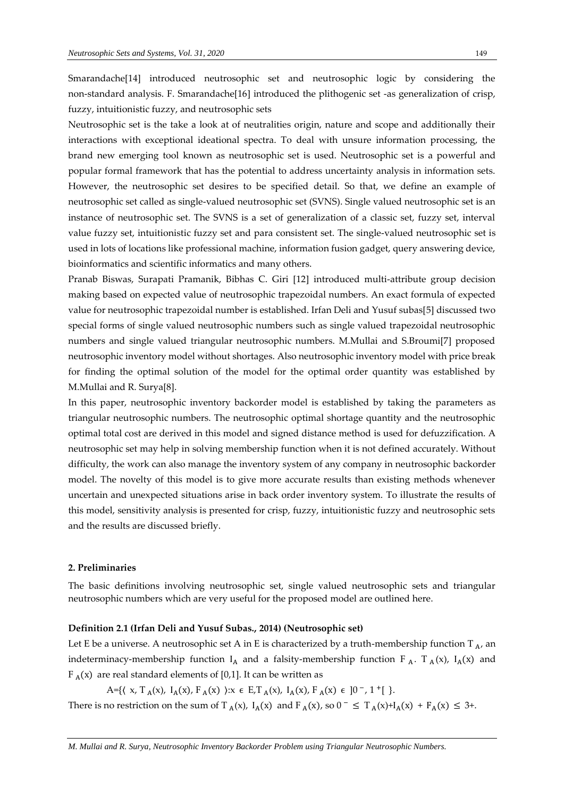Smarandache[14] introduced neutrosophic set and neutrosophic logic by considering the non-standard analysis. F. Smarandache[16] introduced the plithogenic set -as generalization of crisp, fuzzy, intuitionistic fuzzy, and neutrosophic sets

Neutrosophic set is the take a look at of neutralities origin, nature and scope and additionally their interactions with exceptional ideational spectra. To deal with unsure information processing, the brand new emerging tool known as neutrosophic set is used. Neutrosophic set is a powerful and popular formal framework that has the potential to address uncertainty analysis in information sets. However, the neutrosophic set desires to be specified detail. So that, we define an example of neutrosophic set called as single-valued neutrosophic set (SVNS). Single valued neutrosophic set is an instance of neutrosophic set. The SVNS is a set of generalization of a classic set, fuzzy set, interval value fuzzy set, intuitionistic fuzzy set and para consistent set. The single-valued neutrosophic set is used in lots of locations like professional machine, information fusion gadget, query answering device, bioinformatics and scientific informatics and many others.

Pranab Biswas, Surapati Pramanik, Bibhas C. Giri [12] introduced multi-attribute group decision making based on expected value of neutrosophic trapezoidal numbers. An exact formula of expected value for neutrosophic trapezoidal number is established. Irfan Deli and Yusuf subas[5] discussed two special forms of single valued neutrosophic numbers such as single valued trapezoidal neutrosophic numbers and single valued triangular neutrosophic numbers. M.Mullai and S.Broumi[7] proposed neutrosophic inventory model without shortages. Also neutrosophic inventory model with price break for finding the optimal solution of the model for the optimal order quantity was established by M.Mullai and R. Surya[8].

In this paper, neutrosophic inventory backorder model is established by taking the parameters as triangular neutrosophic numbers. The neutrosophic optimal shortage quantity and the neutrosophic optimal total cost are derived in this model and signed distance method is used for defuzzification. A neutrosophic set may help in solving membership function when it is not defined accurately. Without difficulty, the work can also manage the inventory system of any company in neutrosophic backorder model. The novelty of this model is to give more accurate results than existing methods whenever uncertain and unexpected situations arise in back order inventory system. To illustrate the results of this model, sensitivity analysis is presented for crisp, fuzzy, intuitionistic fuzzy and neutrosophic sets and the results are discussed briefly.

## **2. Preliminaries**

The basic definitions involving neutrosophic set, single valued neutrosophic sets and triangular neutrosophic numbers which are very useful for the proposed model are outlined here.

#### **Definition 2.1 (Irfan Deli and Yusuf Subas., 2014) (Neutrosophic set)**

Let E be a universe. A neutrosophic set A in E is characterized by a truth-membership function T  $_{A}$ , an indeterminacy-membership function  $I_A$  and a falsity-membership function  $F_A$ . T<sub>A</sub>(x),  $I_A(x)$  and  $F_A(x)$  are real standard elements of [0,1]. It can be written as

A={ $\langle x, T_A(x), I_A(x), F_A(x) \rangle : x \in E$ ,  $T_A(x), I_A(x), F_A(x) \in ]0^-, 1^+]$  }. There is no restriction on the sum of T<sub>A</sub>(x), I<sub>A</sub>(x) and F<sub>A</sub>(x), so  $0^- \le T_A(x)+I_A(x) + F_A(x) \le 3+$ .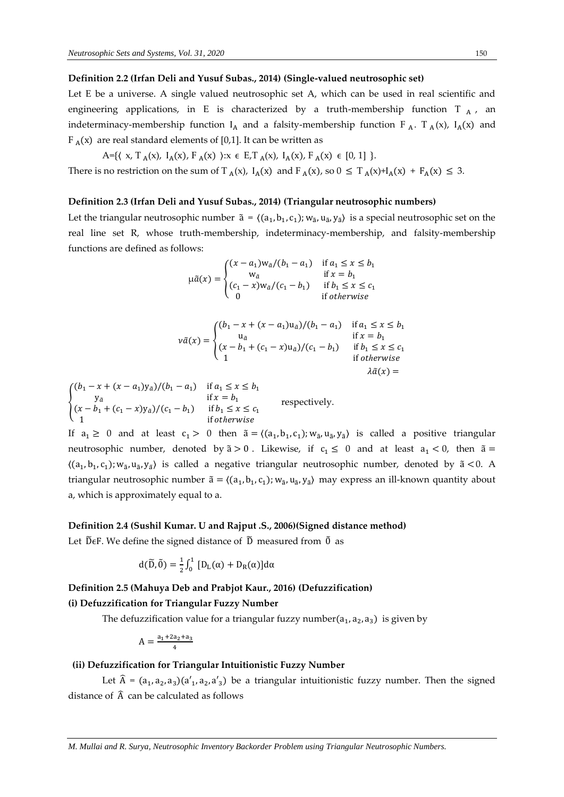#### **Definition 2.2 (Irfan Deli and Yusuf Subas., 2014) (Single-valued neutrosophic set)**

Let E be a universe. A single valued neutrosophic set A, which can be used in real scientific and engineering applications, in E is characterized by a truth-membership function  $T_A$ , an indeterminacy-membership function  $I_A$  and a falsity-membership function  $F_A$ .  $T_A(x)$ ,  $I_A(x)$  and  $F_A(x)$  are real standard elements of [0,1]. It can be written as

A={ $\{ (x, T_A(x), I_A(x), F_A(x)) : x \in E, T_A(x), I_A(x), F_A(x) \in [0, 1] \}.$ 

There is no restriction on the sum of  $T_A(x)$ ,  $I_A(x)$  and  $F_A(x)$ , so  $0 \le T_A(x)+I_A(x) + F_A(x) \le 3$ .

#### **Definition 2.3 (Irfan Deli and Yusuf Subas., 2014) (Triangular neutrosophic numbers)**

Let the triangular neutrosophic number  $\tilde{a} = \langle (a_1, b_1, c_1); w_{\tilde{a}}, u_{\tilde{a}}, y_{\tilde{a}} \rangle$  is a special neutrosophic set on the real line set R, whose truth-membership, indeterminacy-membership, and falsity-membership functions are defined as follows:

$$
\mu \tilde{a}(x) = \begin{cases}\n(x - a_1) w_{\tilde{a}} / (b_1 - a_1) & \text{if } a_1 \le x \le b_1 \\
w_{\tilde{a}} & \text{if } x = b_1 \\
(c_1 - x) w_{\tilde{a}} / (c_1 - b_1) & \text{if } b_1 \le x \le c_1 \\
0 & \text{if otherwise}\n\end{cases}
$$

$$
v\tilde{a}(x) = \begin{cases} (b_1 - x + (x - a_1)u_{\tilde{a}})/(b_1 - a_1) & \text{if } a_1 \le x \le b_1 \\ u_{\tilde{a}} & \text{if } x = b_1 \\ (x - b_1 + (c_1 - x)u_{\tilde{a}})/(c_1 - b_1) & \text{if } b_1 \le x \le c_1 \\ 1 & \text{if otherwise} \end{cases}
$$

$$
\begin{cases}\n(b_1 - x + (x - a_1)y_{\tilde{a}})/(b_1 - a_1) & \text{if } a_1 \le x \le b_1 \\
y_{\tilde{a}} & \text{if } x = b_1 \\
(x - b_1 + (c_1 - x)y_{\tilde{a}})/(c_1 - b_1) & \text{if } b_1 \le x \le c_1 \\
1 & \text{if } otherwise\n\end{cases}
$$
\nrespectively.

If  $a_1 \geq 0$  and at least  $c_1 > 0$  then  $\tilde{a} = \langle (a_1, b_1, c_1); w_{\tilde{a}}, u_{\tilde{a}}, y_{\tilde{a}} \rangle$  is called a positive triangular neutrosophic number, denoted by  $\tilde{a} > 0$ . Likewise, if  $c_1 \le 0$  and at least  $a_1 < 0$ , then  $\tilde{a} =$  $\langle (a_1, b_1, c_1); w_{\tilde{a}}, u_{\tilde{a}}, y_{\tilde{a}} \rangle$  is called a negative triangular neutrosophic number, denoted by  $\tilde{a} < 0$ . A triangular neutrosophic number  $\tilde{a} = \langle (a_1, b_1, c_1); w_{\tilde{a}}, u_{\tilde{a}}, y_{\tilde{a}} \rangle$  may express an ill-known quantity about a, which is approximately equal to a.

#### **Definition 2.4 (Sushil Kumar. U and Rajput .S., 2006)(Signed distance method)**

Let  $\widetilde{D}$  EF. We define the signed distance of  $\widetilde{D}$  measured from  $\widetilde{0}$  as

$$
d(\widetilde{D}, \widetilde{0}) = \frac{1}{2} \int_0^1 [D_L(\alpha) + D_R(\alpha)] d\alpha
$$

## **Definition 2.5 (Mahuya Deb and Prabjot Kaur., 2016) (Defuzzification) (i) Defuzzification for Triangular Fuzzy Number**

The defuzzification value for a triangular fuzzy number $(a_1, a_2, a_3)$  is given by

$$
A = \frac{a_1 + 2a_2 + a_3}{4}
$$

#### **(ii) Defuzzification for Triangular Intuitionistic Fuzzy Number**

Let  $\hat{A} = (a_1, a_2, a_3)(a'_1, a_2, a'_3)$  be a triangular intuitionistic fuzzy number. Then the signed distance of  $\widehat{A}$  can be calculated as follows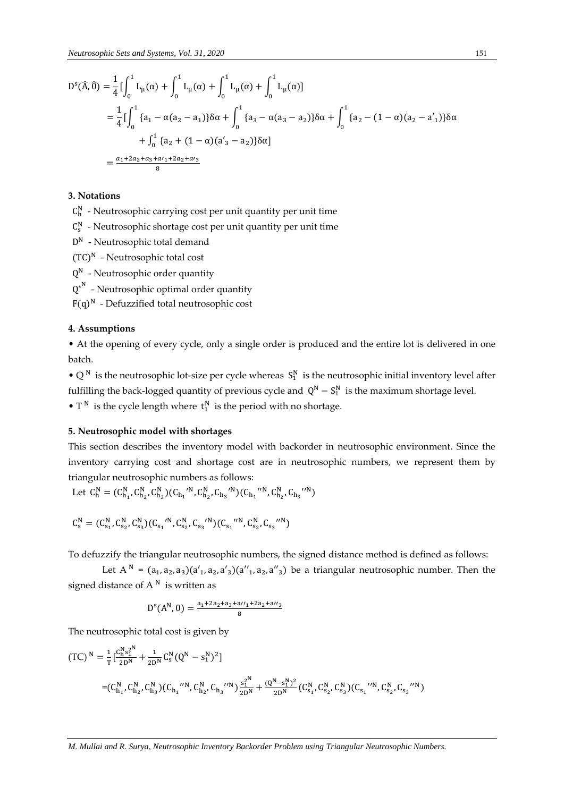$$
D^{s}(\hat{A},\hat{0}) = \frac{1}{4} \left[ \int_{0}^{1} L_{\mu}(\alpha) + \int_{0}^{1} L_{\mu}(\alpha) + \int_{0}^{1} L_{\mu}(\alpha) + \int_{0}^{1} L_{\mu}(\alpha) \right]
$$
  
\n
$$
= \frac{1}{4} \left[ \int_{0}^{1} \{a_{1} - \alpha(a_{2} - a_{1})\} \delta \alpha + \int_{0}^{1} \{a_{3} - \alpha(a_{3} - a_{2})\} \delta \alpha + \int_{0}^{1} \{a_{2} - (1 - \alpha)(a_{2} - a_{1}')\} \delta \alpha
$$
  
\n
$$
+ \int_{0}^{1} \{a_{2} + (1 - \alpha)(a_{3}' - a_{2})\} \delta \alpha \right]
$$
  
\n
$$
= \frac{a_{1} + 2a_{2} + a_{3} + a_{1}' + 2a_{2} + a_{3}}{8}
$$

## **3. Notations**

 $C_h^N$  - Neutrosophic carrying cost per unit quantity per unit time

- $C_s^N$  Neutrosophic shortage cost per unit quantity per unit time
- D<sup>N</sup> Neutrosophic total demand
- (TC) <sup>N</sup> Neutrosophic total cost
- $Q^N$  Neutrosophic order quantity
- $Q^{*^N}$  Neutrosophic optimal order quantity
- $F(q)^N$  Defuzzified total neutrosophic cost

## **4. Assumptions**

• At the opening of every cycle, only a single order is produced and the entire lot is delivered in one batch.

•  $Q^N$  is the neutrosophic lot-size per cycle whereas  $S_1^N$  is the neutrosophic initial inventory level after fulfilling the back-logged quantity of previous cycle and  $Q^N - S_1^N$  is the maximum shortage level.

•  $T^N$  is the cycle length where  $t_1^N$  is the period with no shortage.

#### **5. Neutrosophic model with shortages**

This section describes the inventory model with backorder in neutrosophic environment. Since the inventory carrying cost and shortage cost are in neutrosophic numbers, we represent them by triangular neutrosophic numbers as follows:

$$
\text{Let } \textit{C}^{\textit{N}}_{\textit{h}}=(\textit{C}^{\textit{N}}_{\textit{h}_{1}}, \textit{C}^{\textit{N}}_{\textit{h}_{2}}, \textit{C}^{\textit{N}}_{\textit{h}_{3}}) (\textit{C}_{\textit{h}_{1}} \text{'}^{\textit{N}}, \textit{C}^{\textit{N}}_{\textit{h}_{2}}, \textit{C}_{\textit{h}_{3}} \text{'}^{\textit{N}}), (\textit{C}^{\textit{N}}_{\textit{h}_{1}}, \textit{C}^{\textit{N}}_{\textit{h}_{2}}, \textit{C}_{\textit{h}_{3}} \text{'}^{\textit{N}})
$$

$$
C_s^N = (C_{s_1}^N, C_{s_2}^N, C_{s_3}^N)(C_{s_1}^{\ \prime N}, C_{s_2}^N, C_{s_3}^{\ \prime N})(C_{s_1}^{\ \prime \prime N}, C_{s_2}^N, C_{s_3}^{\ \prime N})
$$

To defuzzify the triangular neutrosophic numbers, the signed distance method is defined as follows:

Let  $A^N = (a_1, a_2, a_3)(a'_1, a_2, a'_3)(a''_1, a_2, a''_3)$  be a triangular neutrosophic number. Then the signed distance of  $A^N$  is written as

$$
D^{s}(A^{N}, 0) = \frac{a_{1} + 2a_{2} + a_{3} + a_{1} + 2a_{2} + a_{1} + a_{3}}{8}
$$

The neutrosophic total cost is given by

$$
(TC)^{N} = \frac{1}{T} \left[ \frac{C_{h}^{N} s_{1}^{2N}}{2D^{N}} + \frac{1}{2D^{N}} C_{s}^{N} (Q^{N} - s_{1}^{N})^{2} \right]
$$
  

$$
= (C_{h_{1}}^{N}, C_{h_{2}}^{N}, C_{h_{3}}^{N}) (C_{h_{1}}^{'N}, C_{h_{2}}^{N}, C_{h_{3}}^{'N}) \frac{s_{1}^{2N}}{2D^{N}} + \frac{(Q^{N} - s_{1}^{N})^{2}}{2D^{N}} (C_{s_{1}}^{N}, C_{s_{2}}^{N}, C_{s_{3}}^{N}) (C_{s_{1}}^{'N}, C_{s_{2}}^{N}, C_{s_{3}}^{'N})
$$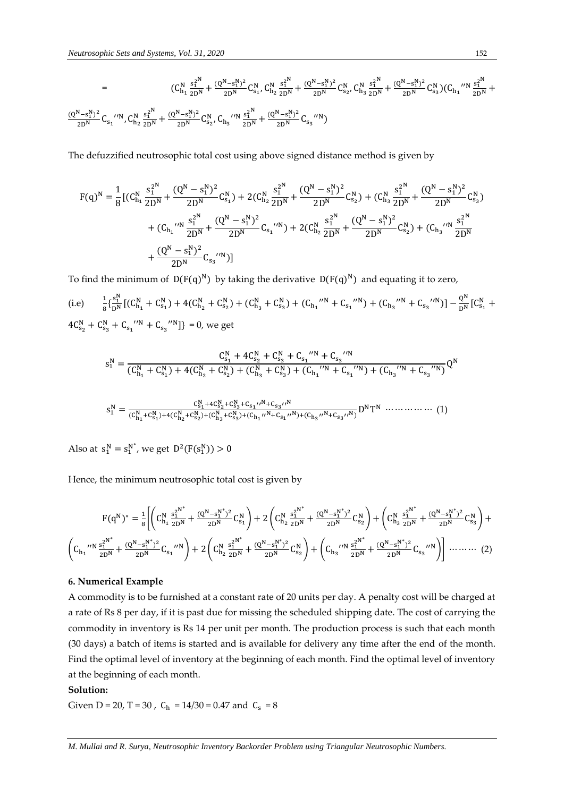$$
= \t(C_{h_1}^N \frac{s_1^{2^N}}{2D^N} + \frac{(Q^N-s_1^N)^2}{2D^N} C_{s_1}^N, C_{h_2}^N \frac{s_1^{2^N}}{2D^N} + \frac{(Q^N-s_1^N)^2}{2D^N} C_{s_2}^N, C_{h_3}^N \frac{s_1^{2^N}}{2D^N} + \frac{(Q^N-s_1^N)^2}{2D^N} C_{s_3}^N)(C_{h_1}^{\ \prime \prime N} \frac{s_1^{2^N}}{2D^N} + \frac{(Q^N-s_1^N)^2}{2D^N} C_{s_2}^N, C_{h_3}^N \frac{s_1^{2^N}}{2D^N} + \frac{(Q^N-s_1^N)^2}{2D^N} C_{s_3}^N) \t(C_{h_1}^{\ \prime \prime N} \frac{s_1^{2^N}}{2D^N} + \frac{(Q^N-s_1^N)^2}{2D^N} C_{s_3}^N, C_{h_2}^N \frac{s_1^{2^N}}{2D^N} + \frac{(Q^N-s_1^N)^2}{2D^N} C_{s_3}^N)
$$

The defuzzified neutrosophic total cost using above signed distance method is given by

$$
\begin{aligned} F(q)^N & = \frac{1}{8} \big[ (C_{h_1}^N \frac{s_1^{2^N}}{2D^N} + \frac{(Q^N-s_1^N)^2}{2D^N} C_{s_1}^N) + 2(C_{h_2}^N \frac{s_1^{2^N}}{2D^N} + \frac{(Q^N-s_1^N)^2}{2D^N} C_{s_2}^N) + (C_{h_3}^N \frac{s_1^{2^N}}{2D^N} + \frac{(Q^N-s_1^N)^2}{2D^N} C_{s_3}^N) \big] \\ & + (C_{h_1} \cdot \text{max} \frac{s_1^{2^N}}{2D^N} + \frac{(Q^N-s_1^N)^2}{2D^N} C_{s_1} \cdot \text{min}) + 2(C_{h_2}^N \frac{s_1^{2^N}}{2D^N} + \frac{(Q^N-s_1^N)^2}{2D^N} C_{s_2}^N) + (C_{h_3} \cdot \text{max} \frac{s_1^{2^N}}{2D^N} \\ & + \frac{(Q^N-s_1^N)^2}{2D^N} C_{s_3} \cdot \text{min}) \big] \end{aligned}
$$

To find the minimum of  $D(F(q)^N)$  by taking the derivative  $D(F(q)^N)$  and equating it to zero,

(i.e)  $\frac{1}{8} \{\frac{s_1^N}{D^N}\}$  $\frac{S_1^N}{D^N}$  $[(C_{h_1}^N + C_{s_1}^N) + 4(C_{h_2}^N + C_{s_2}^N) + (C_{h_3}^N + C_{s_3}^N) + (C_{h_1}^N N + C_{s_1}^N N) + (C_{h_3}^N N + C_{s_3}^N N) - \frac{Q^N}{D^N}$  $\frac{Q''}{D^N}$   $\left[C_{s_1}^N + \right]$  $4C_{s_2}^N + C_{s_3}^N + C_{s_1}^N + C_{s_3}^N$  | = 0, we get

$$
s_1^N = \frac{C_{s_1}^N + 4C_{s_2}^N + C_{s_3}^N + C_{s_1}^N N}{(C_{h_1}^N + C_{s_1}^N) + 4(C_{h_2}^N + C_{s_2}^N) + (C_{h_3}^N + C_{s_3}^N) + (C_{h_1}^N N + C_{s_1}^N) + (C_{h_3}^N N + C_{s_3}^N N)}Q^N
$$

$$
s_1^N = \frac{C_{s_1}^N + 4C_{s_2}^N + C_{s_3}^N + C_{s_1}^N r^N + C_{s_3}^N}{(C_{h_1}^N + C_{s_1}^N) + 4(C_{h_2}^N + C_{s_2}^N) + (C_{h_3}^N + C_{s_3}^N) + (C_{h_1}^N r^N + C_{s_1}^N r^N) + (C_{h_3}^N r^N + C_{s_3}^N r^N)} D^N T^N \dots \dots \dots \dots \tag{1}
$$

Also at  $s_1^N = s_1^{N^*}$ , we get  $D^2(F(s_1^N)) > 0$ 

Hence, the minimum neutrosophic total cost is given by

$$
F(q^N)^* = \frac{1}{8} \Biggl[ \Biggl( C_{h_1}^N \frac{s_1^{2^{N^*}}}{2D^N} + \frac{(Q^N - s_1^N)^2}{2D^N} C_{s_1}^N \Biggr) + 2 \Biggl( C_{h_2}^N \frac{s_1^{2^{N^*}}}{2D^N} + \frac{(Q^N - s_1^N)^2}{2D^N} C_{s_2}^N \Biggr) + \Biggl( C_{h_3}^N \frac{s_1^{2^{N^*}}}{2D^N} + \frac{(Q^N - s_1^N)^2}{2D^N} C_{s_3}^N \Biggr) + \Biggr. \\ \Biggl. \Biggl( C_{h_1}^N \frac{s_1^{2^{N^*}}}{2D^N} + \frac{(Q^N - s_1^N)^2}{2D^N} C_{s_1}^N \Biggr) + 2 \Biggl( C_{h_2}^N \frac{s_1^{2^{N^*}}}{2D^N} + \frac{(Q^N - s_1^N)^2}{2D^N} C_{s_2}^N \Biggr) + \Biggl( C_{h_3}^N \frac{s_1^{2^{N^*}}}{2D^N} + \frac{(Q^N - s_1^N)^2}{2D^N} C_{s_3}^N \Biggr) \Biggr] \dots \dots \dots \tag{2}
$$

#### **6. Numerical Example**

A commodity is to be furnished at a constant rate of 20 units per day. A penalty cost will be charged at a rate of Rs 8 per day, if it is past due for missing the scheduled shipping date. The cost of carrying the commodity in inventory is Rs 14 per unit per month. The production process is such that each month (30 days) a batch of items is started and is available for delivery any time after the end of the month. Find the optimal level of inventory at the beginning of each month. Find the optimal level of inventory at the beginning of each month.

#### **Solution:**

Given D = 20, T = 30,  $C_h = 14/30 = 0.47$  and  $C_s = 8$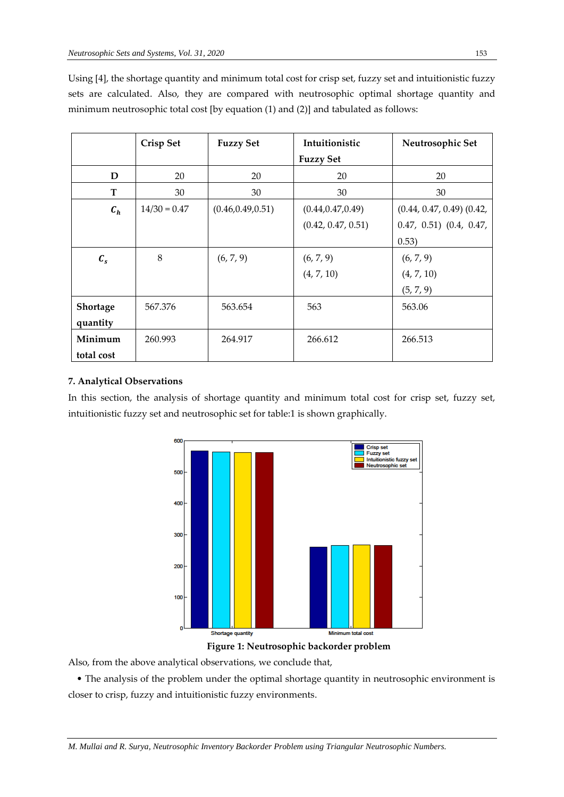|                 | <b>Crisp Set</b> | <b>Fuzzy Set</b>   | Intuitionistic     | Neutrosophic Set              |
|-----------------|------------------|--------------------|--------------------|-------------------------------|
|                 |                  |                    | <b>Fuzzy Set</b>   |                               |
| D               | 20               | 20                 | 20                 | 20                            |
| T               | 30               | 30                 | 30                 | 30                            |
| $c_{h}$         | $14/30 = 0.47$   | (0.46, 0.49, 0.51) | (0.44, 0.47, 0.49) | $(0.44, 0.47, 0.49)$ $(0.42,$ |
|                 |                  |                    | (0.42, 0.47, 0.51) | $0.47, 0.51)$ $(0.4, 0.47,$   |
|                 |                  |                    |                    | 0.53)                         |
| $\mathcal{C}_s$ | 8                | (6, 7, 9)          | (6, 7, 9)          | (6, 7, 9)                     |
|                 |                  |                    | (4, 7, 10)         | (4, 7, 10)                    |
|                 |                  |                    |                    | (5, 7, 9)                     |
| Shortage        | 567.376          | 563.654            | 563                | 563.06                        |
| quantity        |                  |                    |                    |                               |
| Minimum         | 260.993          | 264.917            | 266.612            | 266.513                       |
| total cost      |                  |                    |                    |                               |

Using [4], the shortage quantity and minimum total cost for crisp set, fuzzy set and intuitionistic fuzzy sets are calculated. Also, they are compared with neutrosophic optimal shortage quantity and minimum neutrosophic total cost [by equation (1) and (2)] and tabulated as follows:

## **7. Analytical Observations**

In this section, the analysis of shortage quantity and minimum total cost for crisp set, fuzzy set, intuitionistic fuzzy set and neutrosophic set for table:1 is shown graphically.



**Figure 1: Neutrosophic backorder problem**

Also, from the above analytical observations, we conclude that,

 • The analysis of the problem under the optimal shortage quantity in neutrosophic environment is closer to crisp, fuzzy and intuitionistic fuzzy environments.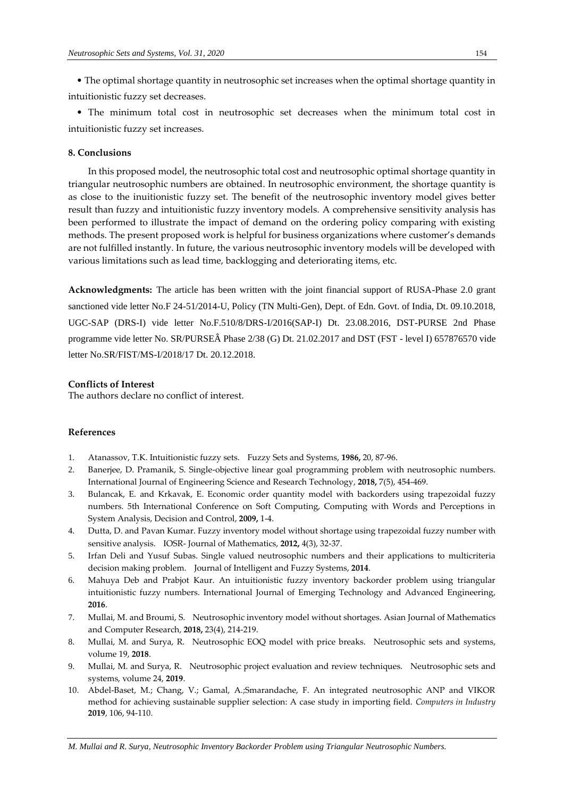• The optimal shortage quantity in neutrosophic set increases when the optimal shortage quantity in intuitionistic fuzzy set decreases.

 • The minimum total cost in neutrosophic set decreases when the minimum total cost in intuitionistic fuzzy set increases.

#### **8. Conclusions**

In this proposed model, the neutrosophic total cost and neutrosophic optimal shortage quantity in triangular neutrosophic numbers are obtained. In neutrosophic environment, the shortage quantity is as close to the inuitionistic fuzzy set. The benefit of the neutrosophic inventory model gives better result than fuzzy and intuitionistic fuzzy inventory models. A comprehensive sensitivity analysis has been performed to illustrate the impact of demand on the ordering policy comparing with existing methods. The present proposed work is helpful for business organizations where customer's demands are not fulfilled instantly. In future, the various neutrosophic inventory models will be developed with various limitations such as lead time, backlogging and deteriorating items, etc.

**Acknowledgments:** The article has been written with the joint financial support of RUSA-Phase 2.0 grant sanctioned vide letter No.F 24-51/2014-U, Policy (TN Multi-Gen), Dept. of Edn. Govt. of India, Dt. 09.10.2018, UGC-SAP (DRS-I) vide letter No.F.510/8/DRS-I/2016(SAP-I) Dt. 23.08.2016, DST-PURSE 2nd Phase programme vide letter No. SR/PURSEÂ Phase 2/38 (G) Dt. 21.02.2017 and DST (FST - level I) 657876570 vide letter No.SR/FIST/MS-I/2018/17 Dt. 20.12.2018.

#### **Conflicts of Interest**

The authors declare no conflict of interest.

#### **References**

- 1. Atanassov, T.K. Intuitionistic fuzzy sets. Fuzzy Sets and Systems, **1986,** 20, 87-96.
- 2. Banerjee, D. Pramanik, S. Single-objective linear goal programming problem with neutrosophic numbers. International Journal of Engineering Science and Research Technology, **2018,** 7(5), 454-469.
- 3. Bulancak, E. and Krkavak, E. Economic order quantity model with backorders using trapezoidal fuzzy numbers. 5th International Conference on Soft Computing, Computing with Words and Perceptions in System Analysis, Decision and Control, **2009,** 1-4.
- 4. Dutta, D. and Pavan Kumar. Fuzzy inventory model without shortage using trapezoidal fuzzy number with sensitive analysis. IOSR- Journal of Mathematics, **2012,** 4(3), 32-37.
- 5. Irfan Deli and Yusuf Subas. Single valued neutrosophic numbers and their applications to multicriteria decision making problem. Journal of Intelligent and Fuzzy Systems, **2014**.
- 6. Mahuya Deb and Prabjot Kaur. An intuitionistic fuzzy inventory backorder problem using triangular intuitionistic fuzzy numbers. International Journal of Emerging Technology and Advanced Engineering, **2016**.
- 7. Mullai, M. and Broumi, S. Neutrosophic inventory model without shortages. Asian Journal of Mathematics and Computer Research, **2018,** 23(4), 214-219.
- 8. Mullai, M. and Surya, R. Neutrosophic EOQ model with price breaks. Neutrosophic sets and systems, volume 19, **2018**.
- 9. Mullai, M. and Surya, R. Neutrosophic project evaluation and review techniques. Neutrosophic sets and systems, volume 24, **2019**.
- 10. Abdel-Baset, M.; Chang, V.; Gamal, A.;Smarandache, F. An integrated neutrosophic ANP and VIKOR method for achieving sustainable supplier selection: A case study in importing field. *Computers in Industry*  **2019**, 106, 94-110.

*M. Mullai and R. Surya, Neutrosophic Inventory Backorder Problem using Triangular Neutrosophic Numbers.*